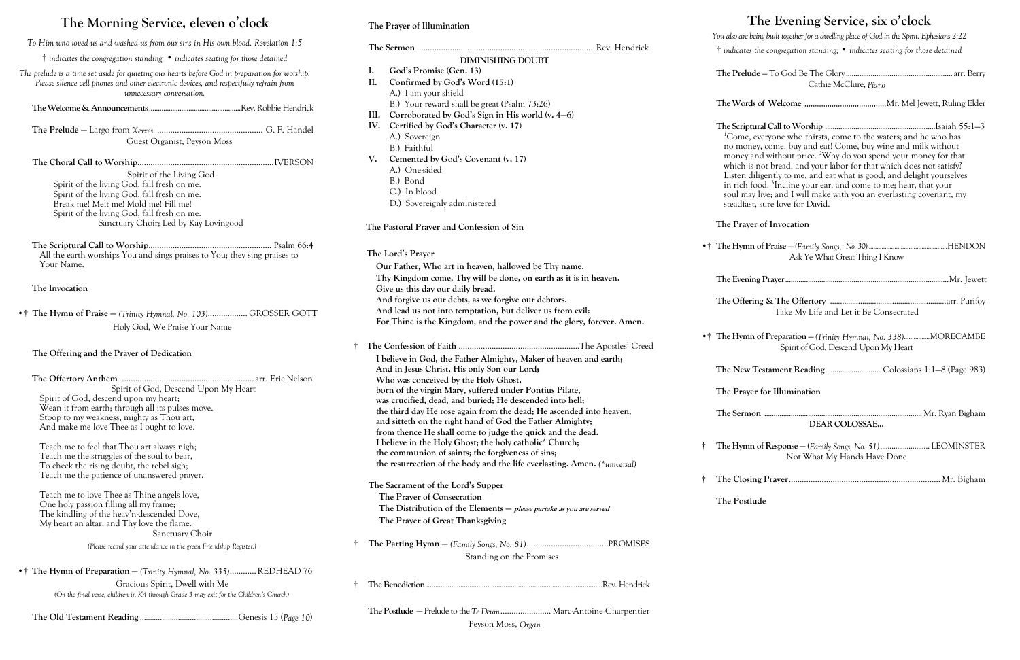# **The Morning Service, eleven o**'**clock**

| To Him who loved us and washed us from our sins in His own blood. Revelation 1:5                                                                                                                                                                                                                                                                                                                                                                                                                                                                              |            | Th        |
|---------------------------------------------------------------------------------------------------------------------------------------------------------------------------------------------------------------------------------------------------------------------------------------------------------------------------------------------------------------------------------------------------------------------------------------------------------------------------------------------------------------------------------------------------------------|------------|-----------|
| $\dagger$ indicates the congregation standing; $\bullet$ indicates seating for those detained                                                                                                                                                                                                                                                                                                                                                                                                                                                                 |            |           |
| The prelude is a time set aside for quieting our hearts before God in preparation for worship.<br>Please silence cell phones and other electronic devices, and respectfully refrain from<br>unnecessary conversation.                                                                                                                                                                                                                                                                                                                                         |            | I.<br>II. |
|                                                                                                                                                                                                                                                                                                                                                                                                                                                                                                                                                               |            | Ш         |
| Guest Organist, Peyson Moss                                                                                                                                                                                                                                                                                                                                                                                                                                                                                                                                   |            | IV.       |
|                                                                                                                                                                                                                                                                                                                                                                                                                                                                                                                                                               |            | V.        |
| Spirit of the Living God<br>Spirit of the living God, fall fresh on me.<br>Spirit of the living God, fall fresh on me.<br>Break me! Melt me! Mold me! Fill me!<br>Spirit of the living God, fall fresh on me.<br>Sanctuary Choir; Led by Kay Lovingood                                                                                                                                                                                                                                                                                                        |            | Th        |
|                                                                                                                                                                                                                                                                                                                                                                                                                                                                                                                                                               |            |           |
| All the earth worships You and sings praises to You; they sing praises to<br>Your Name.                                                                                                                                                                                                                                                                                                                                                                                                                                                                       |            | Th        |
| The Invocation                                                                                                                                                                                                                                                                                                                                                                                                                                                                                                                                                |            |           |
| $\bullet$ † The Hymn of Praise — (Trinity Hymnal, No. 103) GROSSER GOTT<br>Holy God, We Praise Your Name                                                                                                                                                                                                                                                                                                                                                                                                                                                      |            |           |
| The Offering and the Prayer of Dedication                                                                                                                                                                                                                                                                                                                                                                                                                                                                                                                     | $\ddagger$ | Th        |
| Spirit of God, Descend Upon My Heart<br>Spirit of God, descend upon my heart;<br>Wean it from earth; through all its pulses move.<br>Stoop to my weakness, mighty as Thou art,<br>And make me love Thee as I ought to love.<br>Teach me to feel that Thou art always nigh;<br>Teach me the struggles of the soul to bear,<br>To check the rising doubt, the rebel sigh;<br>Teach me the patience of unanswered prayer.<br>Teach me to love Thee as Thine angels love,<br>One holy passion filling all my frame;<br>The kindling of the heav'n-descended Dove, |            | Th        |
| My heart an altar, and Thy love the flame.<br>Sanctuary Choir                                                                                                                                                                                                                                                                                                                                                                                                                                                                                                 |            |           |
| (Please record your attendance in the green Friendship Register.)                                                                                                                                                                                                                                                                                                                                                                                                                                                                                             | $\dagger$  | Th        |
| • † The Hymn of Preparation — (Trinity Hymnal, No. 335) REDHEAD 76<br>Gracious Spirit, Dwell with Me                                                                                                                                                                                                                                                                                                                                                                                                                                                          | $\dagger$  | Th        |
|                                                                                                                                                                                                                                                                                                                                                                                                                                                                                                                                                               |            |           |
| (On the final verse, children in K4 through Grade 3 may exit for the Children's Church)                                                                                                                                                                                                                                                                                                                                                                                                                                                                       |            |           |

**The Old Testament Reading** .................................................Genesis 15 (*Page 10*)

# **The Prayer of Illumination The Sermon** .................................................................................Rev. Hendrick **DIMINISHING DOUBT I. God's Promise (Gen. 13) II. Confirmed by God's Word (15:1)** A.) I am your shield B.) Your reward shall be great (Psalm 73:26) **III. Corroborated by God's Sign in His world (v. 4—6) IV. Certified by God's Character (v. 17)** A.) Sovereign B.) Faithful **V. Cemented by God's Covenant (v. 17)**

**The Postlude —**Prelude to the *Te Deum*....................... Marc-Antoine Charpentier

Peyson Moss, *Organ*

# **The Evening Service, six o'clock**

*You also are being built together for a dwelling place of God in the Spirit. Ephesians 2:22* † *indicates the congregation standing;* • *indicates seating for those detained*

A.) One-sided B.) Bond C.) In blood D.) Sovereignly administered **The Pastoral Prayer and Confession of Sin The Lord's Prayer Our Father, Who art in heaven, hallowed be Thy name. Thy Kingdom come, Thy will be done, on earth as it is in heaven. Give us this day our daily bread. And forgive us our debts, as we forgive our debtors. And lead us not into temptation, but deliver us from evil: For Thine is the Kingdom, and the power and the glory, forever. Amen. † The Confession of Faith** .......................................................The Apostles' Creed **I believe in God, the Father Almighty, Maker of heaven and earth; And in Jesus Christ, His only Son our Lord; Who was conceived by the Holy Ghost, born of the virgin Mary, suffered under Pontius Pilate, was crucified, dead, and buried; He descended into hell; the third day He rose again from the dead; He ascended into heaven, and sitteth on the right hand of God the Father Almighty; from thence He shall come to judge the quick and the dead. I believe in the Holy Ghost; the holy catholic\* Church; the communion of saints; the forgiveness of sins; the resurrection of the body and the life everlasting. Amen.** *(\*universal)* **The Sacrament of the Lord's Supper The Prayer of Consecration The Distribution of the Elements — please partake as you are served The Prayer of Great Thanksgiving** † **The Parting Hymn —** *(Family Songs, No. 81)*.....................................PROMISES Standing on the Promises † **The Benediction**..................................................................................................Rev. Hendrick •† The Hym •† **The Hymn of Preparation** — *(Trinity Hymnal, No. 338)................*MORECAMBE **The Pray The Serm** † **The Hymn of Response — (***Family Songs, No. 51)*.......................... LEOMINSTER  $\dagger$  **The Clos The Postlude**

| Cathie McClure, Piano |  |
|-----------------------|--|

#### **The Words of Welcome** Mr. Mel Jewett, Ruling Elder

**The Scriptural Call to Worship** ..........................................................Isaiah 55:1—3 <sup>1</sup>Come, everyone who thirsts, come to the waters; and he who has no money, come, buy and eat! Come, buy wine and milk without money and without price. <sup>2</sup>Why do you spend your money for that which is not bread, and your labor for that which does not satisfy? Listen diligently to me, and eat what is good, and delight yourselves in rich food. <sup>3</sup> Incline your ear, and come to me; hear, that your soul may live; and I will make with you an everlasting covenant, my steadfast, sure love for David.

#### **The Prayer of Invocation**

| Ask Ye What Great Thing I Know                                                                       |
|------------------------------------------------------------------------------------------------------|
|                                                                                                      |
| Take My Life and Let it Be Consecrated                                                               |
| The Hymn of Preparation - (Trinity Hymnal, No. 338)MORECAMBE<br>Spirit of God, Descend Upon My Heart |
|                                                                                                      |
| The Prayer for Illumination                                                                          |
| DEAR COLOSSAE                                                                                        |
| The Hymn of Response — (Family Songs, No. 51) LEOMINSTER<br>Not What My Hands Have Done              |
|                                                                                                      |
| $T1 \quad D \quad A \cdot 1$                                                                         |